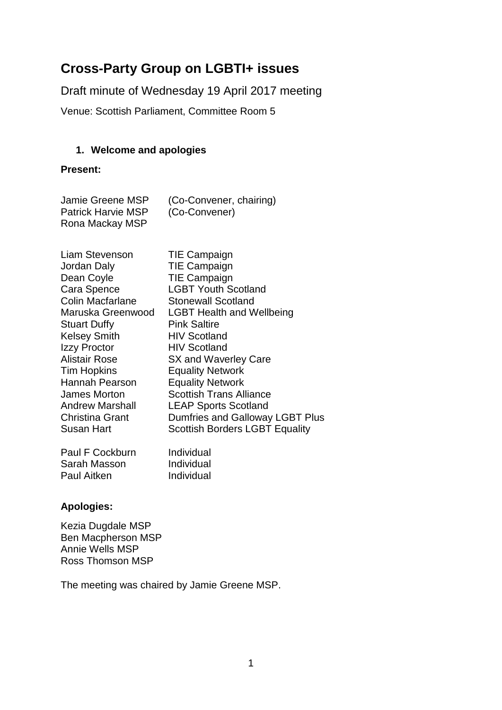# **Cross-Party Group on LGBTI+ issues**

Draft minute of Wednesday 19 April 2017 meeting

Venue: Scottish Parliament, Committee Room 5

## **1. Welcome and apologies**

#### **Present:**

| Jamie Greene MSP          | (Co-Convener, chairing) |
|---------------------------|-------------------------|
| <b>Patrick Harvie MSP</b> | (Co-Convener)           |
| Rona Mackay MSP           |                         |

| Liam Stevenson         | <b>TIE Campaign</b>                   |
|------------------------|---------------------------------------|
| Jordan Daly            | <b>TIE Campaign</b>                   |
| Dean Coyle             | <b>TIE Campaign</b>                   |
| Cara Spence            | <b>LGBT Youth Scotland</b>            |
| Colin Macfarlane       | <b>Stonewall Scotland</b>             |
| Maruska Greenwood      | <b>LGBT Health and Wellbeing</b>      |
| <b>Stuart Duffy</b>    | <b>Pink Saltire</b>                   |
| <b>Kelsey Smith</b>    | <b>HIV Scotland</b>                   |
| Izzy Proctor           | <b>HIV Scotland</b>                   |
| <b>Alistair Rose</b>   | SX and Waverley Care                  |
| <b>Tim Hopkins</b>     | <b>Equality Network</b>               |
| Hannah Pearson         | <b>Equality Network</b>               |
| James Morton           | <b>Scottish Trans Alliance</b>        |
| <b>Andrew Marshall</b> | <b>LEAP Sports Scotland</b>           |
| <b>Christina Grant</b> | Dumfries and Galloway LGBT Plus       |
| Susan Hart             | <b>Scottish Borders LGBT Equality</b> |
| Paul F Cockburn        | Individual                            |
| Sarah Masson           | Individual                            |

## **Apologies:**

Kezia Dugdale MSP Ben Macpherson MSP Annie Wells MSP Ross Thomson MSP

Paul Aitken Individual

The meeting was chaired by Jamie Greene MSP.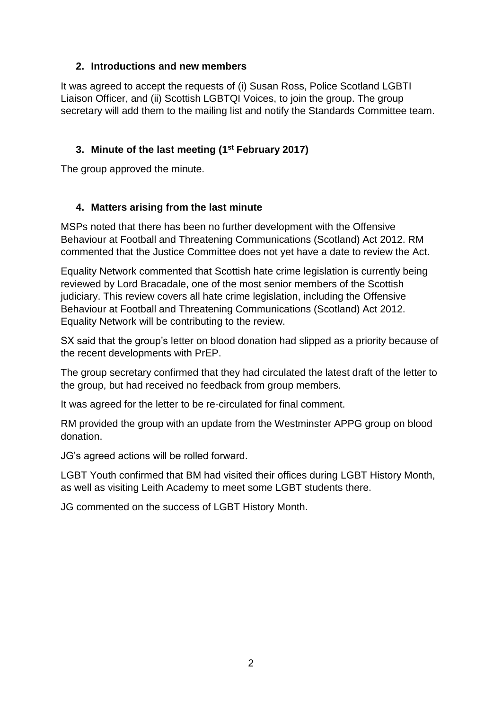#### **2. Introductions and new members**

It was agreed to accept the requests of (i) Susan Ross, Police Scotland LGBTI Liaison Officer, and (ii) Scottish LGBTQI Voices, to join the group. The group secretary will add them to the mailing list and notify the Standards Committee team.

## **3. Minute of the last meeting (1 st February 2017)**

The group approved the minute.

## **4. Matters arising from the last minute**

MSPs noted that there has been no further development with the Offensive Behaviour at Football and Threatening Communications (Scotland) Act 2012. RM commented that the Justice Committee does not yet have a date to review the Act.

Equality Network commented that Scottish hate crime legislation is currently being reviewed by Lord Bracadale, one of the most senior members of the Scottish judiciary. This review covers all hate crime legislation, including the Offensive Behaviour at Football and Threatening Communications (Scotland) Act 2012. Equality Network will be contributing to the review.

SX said that the group's letter on blood donation had slipped as a priority because of the recent developments with PrEP.

The group secretary confirmed that they had circulated the latest draft of the letter to the group, but had received no feedback from group members.

It was agreed for the letter to be re-circulated for final comment.

RM provided the group with an update from the Westminster APPG group on blood donation.

JG's agreed actions will be rolled forward.

LGBT Youth confirmed that BM had visited their offices during LGBT History Month, as well as visiting Leith Academy to meet some LGBT students there.

JG commented on the success of LGBT History Month.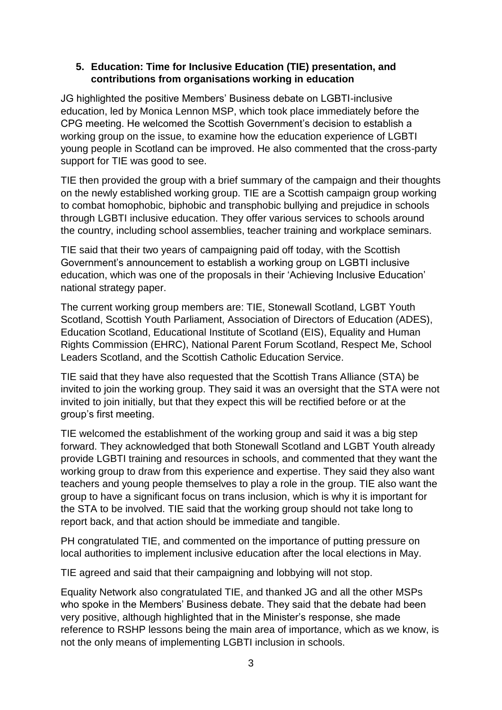#### **5. Education: Time for Inclusive Education (TIE) presentation, and contributions from organisations working in education**

JG highlighted the positive Members' Business debate on LGBTI-inclusive education, led by Monica Lennon MSP, which took place immediately before the CPG meeting. He welcomed the Scottish Government's decision to establish a working group on the issue, to examine how the education experience of LGBTI young people in Scotland can be improved. He also commented that the cross-party support for TIE was good to see.

TIE then provided the group with a brief summary of the campaign and their thoughts on the newly established working group. TIE are a Scottish campaign group working to combat homophobic, biphobic and transphobic bullying and prejudice in schools through LGBTI inclusive education. They offer various services to schools around the country, including school assemblies, teacher training and workplace seminars.

TIE said that their two years of campaigning paid off today, with the Scottish Government's announcement to establish a working group on LGBTI inclusive education, which was one of the proposals in their 'Achieving Inclusive Education' national strategy paper.

The current working group members are: TIE, Stonewall Scotland, LGBT Youth Scotland, Scottish Youth Parliament, Association of Directors of Education (ADES), Education Scotland, Educational Institute of Scotland (EIS), Equality and Human Rights Commission (EHRC), National Parent Forum Scotland, Respect Me, School Leaders Scotland, and the Scottish Catholic Education Service.

TIE said that they have also requested that the Scottish Trans Alliance (STA) be invited to join the working group. They said it was an oversight that the STA were not invited to join initially, but that they expect this will be rectified before or at the group's first meeting.

TIE welcomed the establishment of the working group and said it was a big step forward. They acknowledged that both Stonewall Scotland and LGBT Youth already provide LGBTI training and resources in schools, and commented that they want the working group to draw from this experience and expertise. They said they also want teachers and young people themselves to play a role in the group. TIE also want the group to have a significant focus on trans inclusion, which is why it is important for the STA to be involved. TIE said that the working group should not take long to report back, and that action should be immediate and tangible.

PH congratulated TIE, and commented on the importance of putting pressure on local authorities to implement inclusive education after the local elections in May.

TIE agreed and said that their campaigning and lobbying will not stop.

Equality Network also congratulated TIE, and thanked JG and all the other MSPs who spoke in the Members' Business debate. They said that the debate had been very positive, although highlighted that in the Minister's response, she made reference to RSHP lessons being the main area of importance, which as we know, is not the only means of implementing LGBTI inclusion in schools.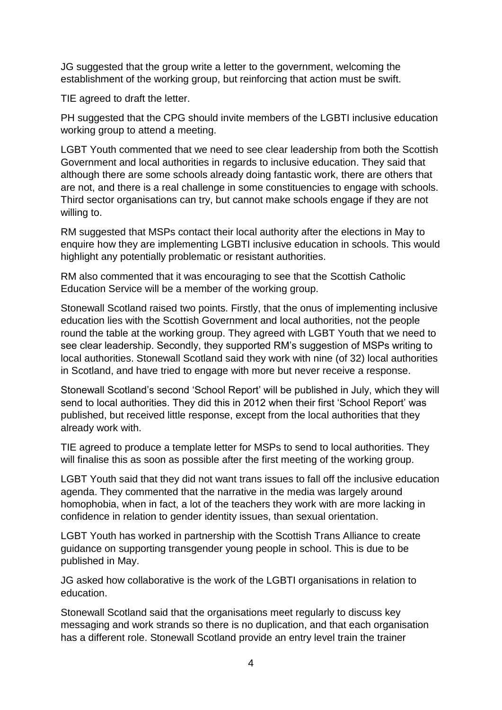JG suggested that the group write a letter to the government, welcoming the establishment of the working group, but reinforcing that action must be swift.

TIE agreed to draft the letter.

PH suggested that the CPG should invite members of the LGBTI inclusive education working group to attend a meeting.

LGBT Youth commented that we need to see clear leadership from both the Scottish Government and local authorities in regards to inclusive education. They said that although there are some schools already doing fantastic work, there are others that are not, and there is a real challenge in some constituencies to engage with schools. Third sector organisations can try, but cannot make schools engage if they are not willing to.

RM suggested that MSPs contact their local authority after the elections in May to enquire how they are implementing LGBTI inclusive education in schools. This would highlight any potentially problematic or resistant authorities.

RM also commented that it was encouraging to see that the Scottish Catholic Education Service will be a member of the working group.

Stonewall Scotland raised two points. Firstly, that the onus of implementing inclusive education lies with the Scottish Government and local authorities, not the people round the table at the working group. They agreed with LGBT Youth that we need to see clear leadership. Secondly, they supported RM's suggestion of MSPs writing to local authorities. Stonewall Scotland said they work with nine (of 32) local authorities in Scotland, and have tried to engage with more but never receive a response.

Stonewall Scotland's second 'School Report' will be published in July, which they will send to local authorities. They did this in 2012 when their first 'School Report' was published, but received little response, except from the local authorities that they already work with.

TIE agreed to produce a template letter for MSPs to send to local authorities. They will finalise this as soon as possible after the first meeting of the working group.

LGBT Youth said that they did not want trans issues to fall off the inclusive education agenda. They commented that the narrative in the media was largely around homophobia, when in fact, a lot of the teachers they work with are more lacking in confidence in relation to gender identity issues, than sexual orientation.

LGBT Youth has worked in partnership with the Scottish Trans Alliance to create guidance on supporting transgender young people in school. This is due to be published in May.

JG asked how collaborative is the work of the LGBTI organisations in relation to education.

Stonewall Scotland said that the organisations meet regularly to discuss key messaging and work strands so there is no duplication, and that each organisation has a different role. Stonewall Scotland provide an entry level train the trainer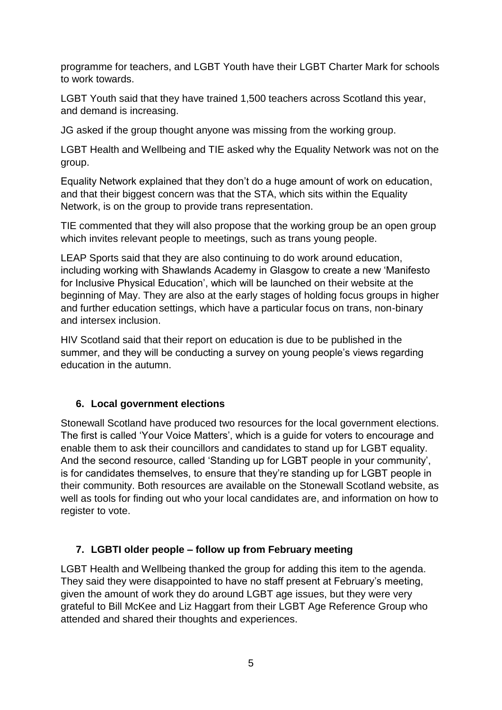programme for teachers, and LGBT Youth have their LGBT Charter Mark for schools to work towards.

LGBT Youth said that they have trained 1,500 teachers across Scotland this year, and demand is increasing.

JG asked if the group thought anyone was missing from the working group.

LGBT Health and Wellbeing and TIE asked why the Equality Network was not on the group.

Equality Network explained that they don't do a huge amount of work on education, and that their biggest concern was that the STA, which sits within the Equality Network, is on the group to provide trans representation.

TIE commented that they will also propose that the working group be an open group which invites relevant people to meetings, such as trans young people.

LEAP Sports said that they are also continuing to do work around education, including working with Shawlands Academy in Glasgow to create a new 'Manifesto for Inclusive Physical Education', which will be launched on their website at the beginning of May. They are also at the early stages of holding focus groups in higher and further education settings, which have a particular focus on trans, non-binary and intersex inclusion.

HIV Scotland said that their report on education is due to be published in the summer, and they will be conducting a survey on young people's views regarding education in the autumn.

# **6. Local government elections**

Stonewall Scotland have produced two resources for the local government elections. The first is called 'Your Voice Matters', which is a guide for voters to encourage and enable them to ask their councillors and candidates to stand up for LGBT equality. And the second resource, called 'Standing up for LGBT people in your community', is for candidates themselves, to ensure that they're standing up for LGBT people in their community. Both resources are available on the Stonewall Scotland website, as well as tools for finding out who your local candidates are, and information on how to register to vote.

# **7. LGBTI older people – follow up from February meeting**

LGBT Health and Wellbeing thanked the group for adding this item to the agenda. They said they were disappointed to have no staff present at February's meeting, given the amount of work they do around LGBT age issues, but they were very grateful to Bill McKee and Liz Haggart from their LGBT Age Reference Group who attended and shared their thoughts and experiences.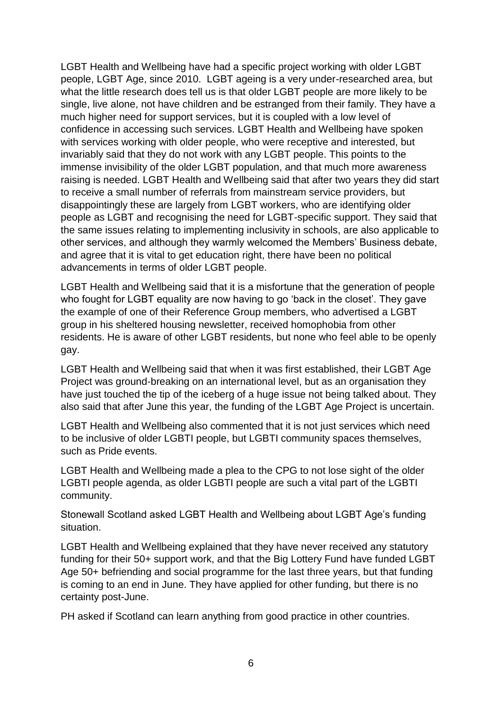LGBT Health and Wellbeing have had a specific project working with older LGBT people, LGBT Age, since 2010. LGBT ageing is a very under-researched area, but what the little research does tell us is that older LGBT people are more likely to be single, live alone, not have children and be estranged from their family. They have a much higher need for support services, but it is coupled with a low level of confidence in accessing such services. LGBT Health and Wellbeing have spoken with services working with older people, who were receptive and interested, but invariably said that they do not work with any LGBT people. This points to the immense invisibility of the older LGBT population, and that much more awareness raising is needed. LGBT Health and Wellbeing said that after two years they did start to receive a small number of referrals from mainstream service providers, but disappointingly these are largely from LGBT workers, who are identifying older people as LGBT and recognising the need for LGBT-specific support. They said that the same issues relating to implementing inclusivity in schools, are also applicable to other services, and although they warmly welcomed the Members' Business debate, and agree that it is vital to get education right, there have been no political advancements in terms of older LGBT people.

LGBT Health and Wellbeing said that it is a misfortune that the generation of people who fought for LGBT equality are now having to go 'back in the closet'. They gave the example of one of their Reference Group members, who advertised a LGBT group in his sheltered housing newsletter, received homophobia from other residents. He is aware of other LGBT residents, but none who feel able to be openly gay.

LGBT Health and Wellbeing said that when it was first established, their LGBT Age Project was ground-breaking on an international level, but as an organisation they have just touched the tip of the iceberg of a huge issue not being talked about. They also said that after June this year, the funding of the LGBT Age Project is uncertain.

LGBT Health and Wellbeing also commented that it is not just services which need to be inclusive of older LGBTI people, but LGBTI community spaces themselves, such as Pride events.

LGBT Health and Wellbeing made a plea to the CPG to not lose sight of the older LGBTI people agenda, as older LGBTI people are such a vital part of the LGBTI community.

Stonewall Scotland asked LGBT Health and Wellbeing about LGBT Age's funding situation.

LGBT Health and Wellbeing explained that they have never received any statutory funding for their 50+ support work, and that the Big Lottery Fund have funded LGBT Age 50+ befriending and social programme for the last three years, but that funding is coming to an end in June. They have applied for other funding, but there is no certainty post-June.

PH asked if Scotland can learn anything from good practice in other countries.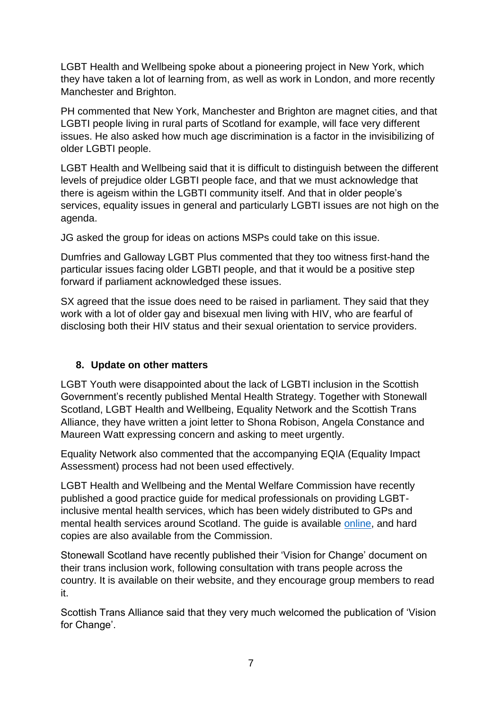LGBT Health and Wellbeing spoke about a pioneering project in New York, which they have taken a lot of learning from, as well as work in London, and more recently Manchester and Brighton.

PH commented that New York, Manchester and Brighton are magnet cities, and that LGBTI people living in rural parts of Scotland for example, will face very different issues. He also asked how much age discrimination is a factor in the invisibilizing of older LGBTI people.

LGBT Health and Wellbeing said that it is difficult to distinguish between the different levels of prejudice older LGBTI people face, and that we must acknowledge that there is ageism within the LGBTI community itself. And that in older people's services, equality issues in general and particularly LGBTI issues are not high on the agenda.

JG asked the group for ideas on actions MSPs could take on this issue.

Dumfries and Galloway LGBT Plus commented that they too witness first-hand the particular issues facing older LGBTI people, and that it would be a positive step forward if parliament acknowledged these issues.

SX agreed that the issue does need to be raised in parliament. They said that they work with a lot of older gay and bisexual men living with HIV, who are fearful of disclosing both their HIV status and their sexual orientation to service providers.

#### **8. Update on other matters**

LGBT Youth were disappointed about the lack of LGBTI inclusion in the Scottish Government's recently published Mental Health Strategy. Together with Stonewall Scotland, LGBT Health and Wellbeing, Equality Network and the Scottish Trans Alliance, they have written a joint letter to Shona Robison, Angela Constance and Maureen Watt expressing concern and asking to meet urgently.

Equality Network also commented that the accompanying EQIA (Equality Impact Assessment) process had not been used effectively.

LGBT Health and Wellbeing and the Mental Welfare Commission have recently published a good practice guide for medical professionals on providing LGBTinclusive mental health services, which has been widely distributed to GPs and mental health services around Scotland. The guide is available [online,](http://www.mwcscot.org.uk/media/356012/lgbt_inclusive_mental_health_services.pdf) and hard copies are also available from the Commission.

Stonewall Scotland have recently published their 'Vision for Change' document on their trans inclusion work, following consultation with trans people across the country. It is available on their website, and they encourage group members to read it.

Scottish Trans Alliance said that they very much welcomed the publication of 'Vision for Change'.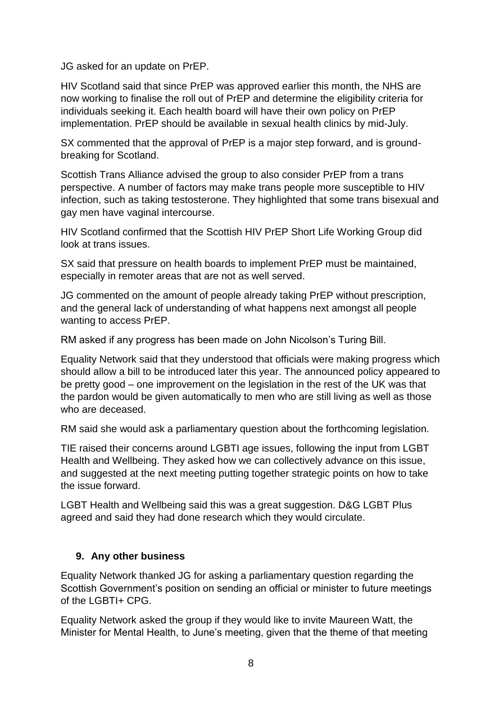JG asked for an update on PrEP.

HIV Scotland said that since PrEP was approved earlier this month, the NHS are now working to finalise the roll out of PrEP and determine the eligibility criteria for individuals seeking it. Each health board will have their own policy on PrEP implementation. PrEP should be available in sexual health clinics by mid-July.

SX commented that the approval of PrEP is a major step forward, and is groundbreaking for Scotland.

Scottish Trans Alliance advised the group to also consider PrEP from a trans perspective. A number of factors may make trans people more susceptible to HIV infection, such as taking testosterone. They highlighted that some trans bisexual and gay men have vaginal intercourse.

HIV Scotland confirmed that the Scottish HIV PrEP Short Life Working Group did look at trans issues.

SX said that pressure on health boards to implement PrEP must be maintained, especially in remoter areas that are not as well served.

JG commented on the amount of people already taking PrEP without prescription, and the general lack of understanding of what happens next amongst all people wanting to access PrEP.

RM asked if any progress has been made on John Nicolson's Turing Bill.

Equality Network said that they understood that officials were making progress which should allow a bill to be introduced later this year. The announced policy appeared to be pretty good – one improvement on the legislation in the rest of the UK was that the pardon would be given automatically to men who are still living as well as those who are deceased.

RM said she would ask a parliamentary question about the forthcoming legislation.

TIE raised their concerns around LGBTI age issues, following the input from LGBT Health and Wellbeing. They asked how we can collectively advance on this issue, and suggested at the next meeting putting together strategic points on how to take the issue forward.

LGBT Health and Wellbeing said this was a great suggestion. D&G LGBT Plus agreed and said they had done research which they would circulate.

#### **9. Any other business**

Equality Network thanked JG for asking a parliamentary question regarding the Scottish Government's position on sending an official or minister to future meetings of the LGBTI+ CPG.

Equality Network asked the group if they would like to invite Maureen Watt, the Minister for Mental Health, to June's meeting, given that the theme of that meeting